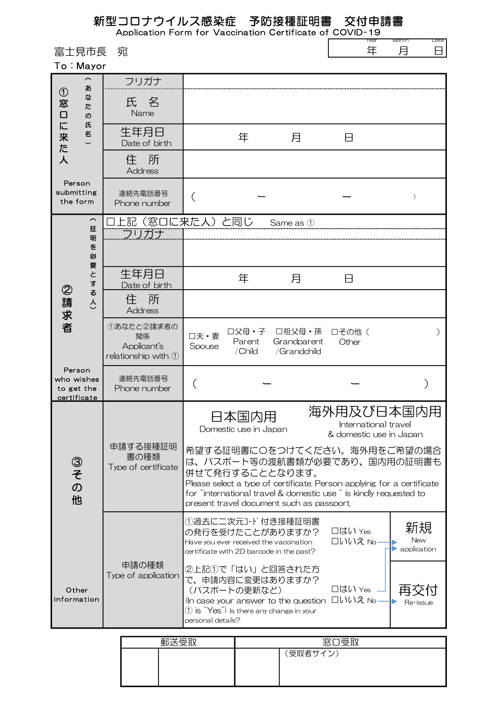## 新型コロナウイルス感染症 予防接種証明書 交付申請書

Application Form for Vaccination Certificate of COVID-19

| 富士見市長                                 | 宛                                                           |                                                                                                                                            |   | Year<br>年               | <b>Month</b><br>月 | Date<br>8 |  |  |
|---------------------------------------|-------------------------------------------------------------|--------------------------------------------------------------------------------------------------------------------------------------------|---|-------------------------|-------------------|-----------|--|--|
| To: Mayor                             |                                                             |                                                                                                                                            |   |                         |                   |           |  |  |
| $\widehat{\phantom{1}}$               | フリガナ                                                        |                                                                                                                                            |   |                         |                   |           |  |  |
| ぁ<br>$^\mathrm{\textregistered}$<br>な |                                                             |                                                                                                                                            |   |                         |                   |           |  |  |
| 窓<br>た                                | 氏 名<br>Name                                                 |                                                                                                                                            |   |                         |                   |           |  |  |
| $\Box$<br>$\sigma$<br>に<br>氏          |                                                             |                                                                                                                                            |   |                         |                   |           |  |  |
| 名<br>来                                | 生年月日                                                        | 年<br>月                                                                                                                                     | ⊟ |                         |                   |           |  |  |
| た                                     | Date of birth                                               |                                                                                                                                            |   |                         |                   |           |  |  |
| 人                                     | 所<br>住                                                      |                                                                                                                                            |   |                         |                   |           |  |  |
|                                       | <b>Address</b>                                              |                                                                                                                                            |   |                         |                   |           |  |  |
| Person<br>submitting                  | 連絡先電話番号                                                     |                                                                                                                                            |   |                         |                   |           |  |  |
| the form                              | Phone number                                                |                                                                                                                                            |   |                         | )                 |           |  |  |
| $\widehat{\phantom{m}}$               |                                                             |                                                                                                                                            |   |                         |                   |           |  |  |
| 証                                     | フリガナ                                                        | 上記(窓口に来た人)と同じ<br>Same as 1                                                                                                                 |   |                         |                   |           |  |  |
| 明<br>を                                |                                                             |                                                                                                                                            |   |                         |                   |           |  |  |
| 必                                     |                                                             |                                                                                                                                            |   |                         |                   |           |  |  |
| 要<br>と                                | 生年月日                                                        |                                                                                                                                            |   |                         |                   |           |  |  |
| す                                     | Date of birth                                               | 年<br>月                                                                                                                                     | Β |                         |                   |           |  |  |
| る                                     | 住<br>所                                                      |                                                                                                                                            |   |                         |                   |           |  |  |
| と                                     | <b>Address</b>                                              |                                                                                                                                            |   |                         |                   |           |  |  |
| ②請求者                                  | ①あなたと2請求者の                                                  | 口父母・子<br>口祖父母·孫                                                                                                                            |   | □その他 (                  |                   |           |  |  |
|                                       | 関係                                                          | 口夫·妻<br>Parent<br>Grandparent                                                                                                              |   | Other                   |                   |           |  |  |
|                                       | Applicant's<br>relationship with $\bigcirc$                 | Spouse<br>/Child<br>/Grandchild                                                                                                            |   |                         |                   |           |  |  |
| Person                                |                                                             |                                                                                                                                            |   |                         |                   |           |  |  |
| who wishes                            | 連絡先電話番号                                                     |                                                                                                                                            |   |                         |                   |           |  |  |
| to get the<br>certificate             | Phone number                                                |                                                                                                                                            |   |                         |                   |           |  |  |
|                                       |                                                             |                                                                                                                                            |   |                         |                   |           |  |  |
|                                       | 海外用及び日本国内用<br>日本国内用<br>International travel                 |                                                                                                                                            |   |                         |                   |           |  |  |
|                                       |                                                             | Domestic use in Japan                                                                                                                      |   | & domestic use in Japan |                   |           |  |  |
|                                       | 申請する接種証明                                                    | 希望する証明書に〇をつけてください。海外用をご希望の場合                                                                                                               |   |                         |                   |           |  |  |
|                                       | 書の種類<br>は、パスポート等の渡航書類が必要であり、国内用の証明書も<br>Type of certificate |                                                                                                                                            |   |                         |                   |           |  |  |
| ③その                                   |                                                             | 併せて発行することとなります。                                                                                                                            |   |                         |                   |           |  |  |
|                                       |                                                             | Please select a type of certificate. Person applying for a certificate<br>for "international travel & domestic use" is kindly requested to |   |                         |                   |           |  |  |
| 他                                     |                                                             | present travel document such as passport.                                                                                                  |   |                         |                   |           |  |  |
|                                       |                                                             | 1過去に二次元コード 付き接種証明書                                                                                                                         |   |                         |                   |           |  |  |
|                                       |                                                             | の発行を受けたことがありますか?                                                                                                                           |   | □はい Yes                 | 新規                |           |  |  |
|                                       |                                                             | Have you ever received the vaccination                                                                                                     |   | □いいえ No-                | New               |           |  |  |
|                                       |                                                             | certificate with 2D barcode in the past?                                                                                                   |   |                         | application       |           |  |  |
|                                       | 申請の種類<br>Type of application                                | ②上記①で「はい」と回答された方                                                                                                                           |   |                         |                   |           |  |  |
|                                       |                                                             | で、申請内容に変更はありますか?                                                                                                                           |   | □はい Yes                 |                   |           |  |  |
| Other<br>information                  |                                                             | (パスポートの更新など)<br>(In case your answer to the question                                                                                       |   | □いいえ №                  |                   |           |  |  |
|                                       |                                                             | $\textcircled{1}$ is $\textup{``Yes''}$ Is there any change in your                                                                        |   |                         | Re-issue          |           |  |  |
|                                       |                                                             | personal details?                                                                                                                          |   |                         |                   |           |  |  |

| <b>五几半平田</b> | 口受取<br>窓 |  |  |
|--------------|----------|--|--|
|              | (受取者サイン) |  |  |
|              |          |  |  |
|              |          |  |  |